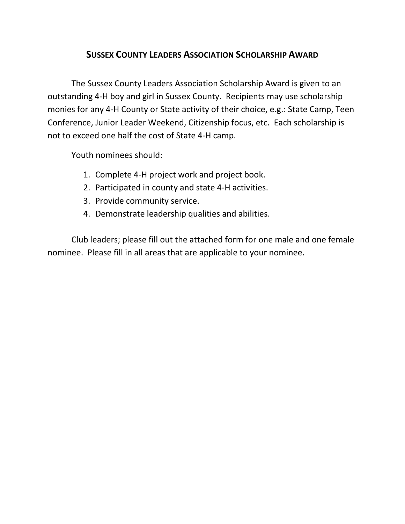## **SUSSEX COUNTY LEADERS ASSOCIATION SCHOLARSHIP AWARD**

The Sussex County Leaders Association Scholarship Award is given to an outstanding 4-H boy and girl in Sussex County. Recipients may use scholarship monies for any 4-H County or State activity of their choice, e.g.: State Camp, Teen Conference, Junior Leader Weekend, Citizenship focus, etc. Each scholarship is not to exceed one half the cost of State 4-H camp.

Youth nominees should:

- 1. Complete 4-H project work and project book.
- 2. Participated in county and state 4-H activities.
- 3. Provide community service.
- 4. Demonstrate leadership qualities and abilities.

Club leaders; please fill out the attached form for one male and one female nominee. Please fill in all areas that are applicable to your nominee.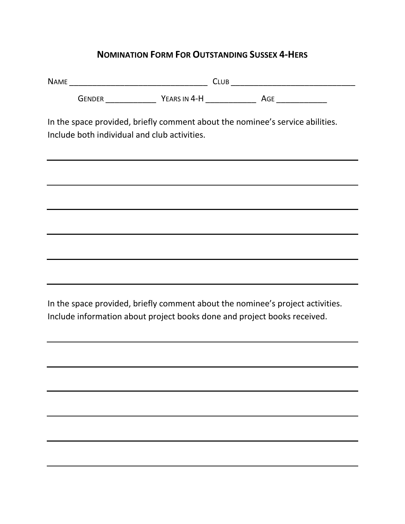## **NOMINATION FORM FOR OUTSTANDING SUSSEX 4-HERS**

NAME \_\_\_\_\_\_\_\_\_\_\_\_\_\_\_\_\_\_\_\_\_\_\_\_\_\_\_\_\_\_ CLUB \_\_\_\_\_\_\_\_\_\_\_\_\_\_\_\_\_\_\_\_\_\_\_\_\_\_\_

GENDER \_\_\_\_\_\_\_\_\_\_\_ YEARS IN 4-H \_\_\_\_\_\_\_\_\_\_\_ AGE \_\_\_\_\_\_\_\_\_\_\_

In the space provided, briefly comment about the nominee's service abilities. Include both individual and club activities.

In the space provided, briefly comment about the nominee's project activities. Include information about project books done and project books received.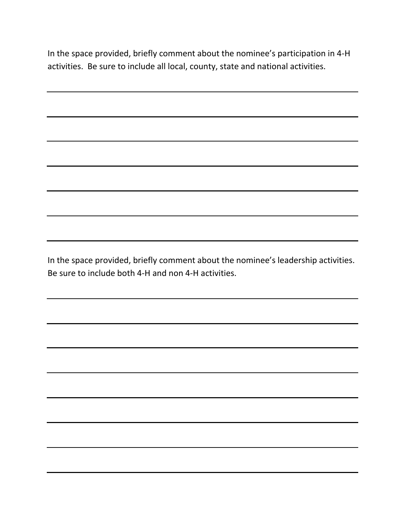In the space provided, briefly comment about the nominee's participation in 4-H activities. Be sure to include all local, county, state and national activities.

In the space provided, briefly comment about the nominee's leadership activities. Be sure to include both 4-H and non 4-H activities.